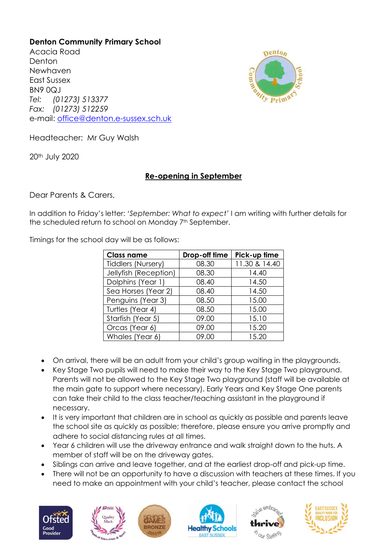## **Denton Community Primary School**

Acacia Road **Denton** Newhaven East Sussex BN9 0QJ *Tel: (01273) 513377 Fax: (01273) 512259* e-mail: [office@denton.e-sussex.sch.uk](mailto:office@denton.e-sussex.sch.uk)



Headteacher: Mr Guy Walsh

20th July 2020

## **Re-opening in September**

Dear Parents & Carers,

In addition to Friday's letter: '*September: What to expect'* I am writing with further details for the scheduled return to school on Monday 7<sup>th</sup> September.

Timings for the school day will be as follows:

| <b>Class name</b>         | Drop-off time | Pick-up time  |
|---------------------------|---------------|---------------|
| <b>Tiddlers (Nursery)</b> | 08.30         | 11.30 & 14.40 |
| Jellyfish (Reception)     | 08.30         | 14.40         |
| Dolphins (Year 1)         | 08.40         | 14.50         |
| Sea Horses (Year 2)       | 08.40         | 14.50         |
| Penguins (Year 3)         | 08.50         | 15.00         |
| Turtles (Year 4)          | 08.50         | 15.00         |
| Starfish (Year 5)         | 09.00         | 15.10         |
| Orcas (Year 6)            | 09.00         | 15.20         |
| Whales (Year 6)           | 09.00         | 15.20         |

- On arrival, there will be an adult from your child's group waiting in the playgrounds.
- Key Stage Two pupils will need to make their way to the Key Stage Two playground. Parents will not be allowed to the Key Stage Two playground (staff will be available at the main gate to support where necessary). Early Years and Key Stage One parents can take their child to the class teacher/teaching assistant in the playground if necessary.
- It is very important that children are in school as quickly as possible and parents leave the school site as quickly as possible; therefore, please ensure you arrive promptly and adhere to social distancing rules at all times.
- Year 6 children will use the driveway entrance and walk straight down to the huts. A member of staff will be on the driveway gates.
- Siblings can arrive and leave together, and at the earliest drop-off and pick-up time.
- There will not be an opportunity to have a discussion with teachers at these times. If you need to make an appointment with your child's teacher, please contact the school